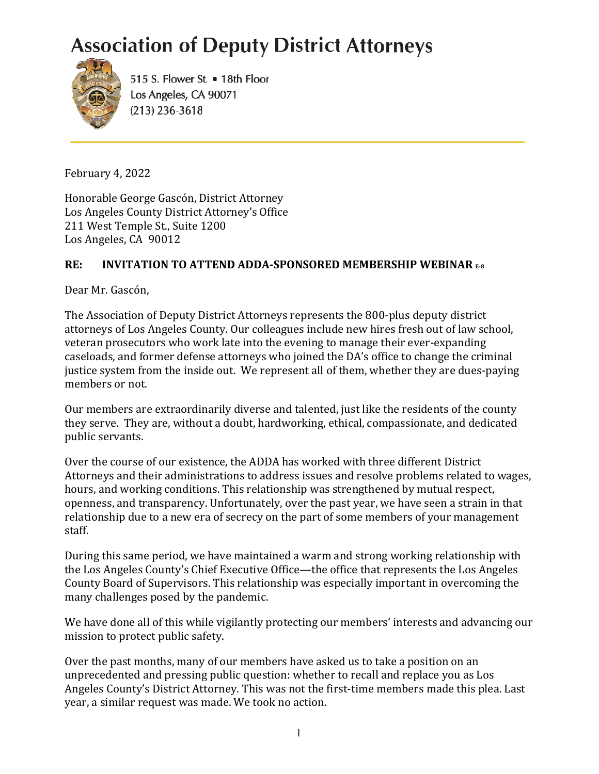## **Association of Deputy District Attorneys**



515 S. Flower St. • 18th Floor Los Angeles, CA 90071  $(213)$  236-3618

February 4, 2022

Honorable George Gascón, District Attorney Los Angeles County District Attorney's Office 211 West Temple St., Suite 1200 Los Angeles, CA 90012

## **RE: INVITATION TO ATTEND ADDA-SPONSORED MEMBERSHIP WEBINAR E-8**

Dear Mr. Gascón,

The Association of Deputy District Attorneys represents the 800-plus deputy district attorneys of Los Angeles County. Our colleagues include new hires fresh out of law school, veteran prosecutors who work late into the evening to manage their ever-expanding caseloads, and former defense attorneys who joined the DA's office to change the criminal justice system from the inside out. We represent all of them, whether they are dues-paying members or not.

Our members are extraordinarily diverse and talented, just like the residents of the county they serve. They are, without a doubt, hardworking, ethical, compassionate, and dedicated public servants.

Over the course of our existence, the ADDA has worked with three different District Attorneys and their administrations to address issues and resolve problems related to wages, hours, and working conditions. This relationship was strengthened by mutual respect, openness, and transparency. Unfortunately, over the past year, we have seen a strain in that relationship due to a new era of secrecy on the part of some members of your management staff. 

During this same period, we have maintained a warm and strong working relationship with the Los Angeles County's Chief Executive Office—the office that represents the Los Angeles County Board of Supervisors. This relationship was especially important in overcoming the many challenges posed by the pandemic.

We have done all of this while vigilantly protecting our members' interests and advancing our mission to protect public safety.

Over the past months, many of our members have asked us to take a position on an unprecedented and pressing public question: whether to recall and replace you as Los Angeles County's District Attorney. This was not the first-time members made this plea. Last year, a similar request was made. We took no action.